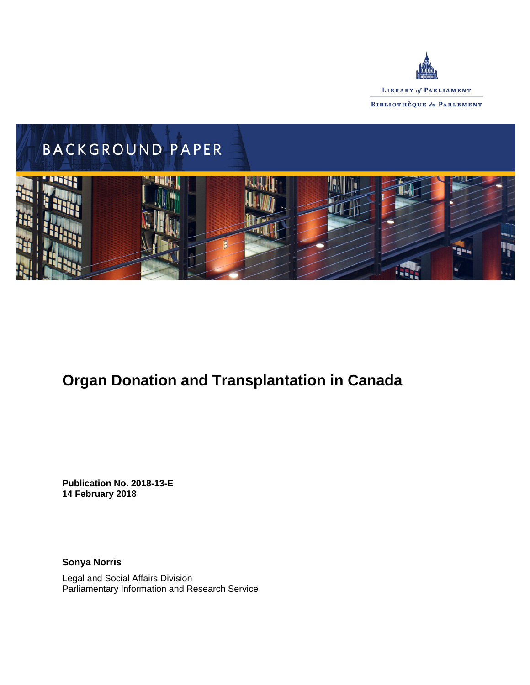



# **Organ Donation and Transplantation in Canada**

**Publication No. 2018-13-E 14 February 2018**

**Sonya Norris**

Legal and Social Affairs Division Parliamentary Information and Research Service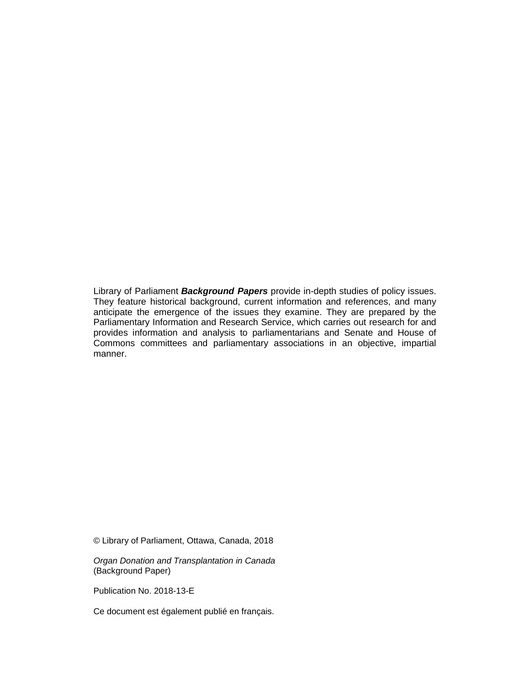Library of Parliament *Background Papers* provide in-depth studies of policy issues. They feature historical background, current information and references, and many anticipate the emergence of the issues they examine. They are prepared by the Parliamentary Information and Research Service, which carries out research for and provides information and analysis to parliamentarians and Senate and House of Commons committees and parliamentary associations in an objective, impartial manner.

© Library of Parliament, Ottawa, Canada, 2018

*Organ Donation and Transplantation in Canada* (Background Paper)

Publication No. 2018-13-E

Ce document est également publié en français.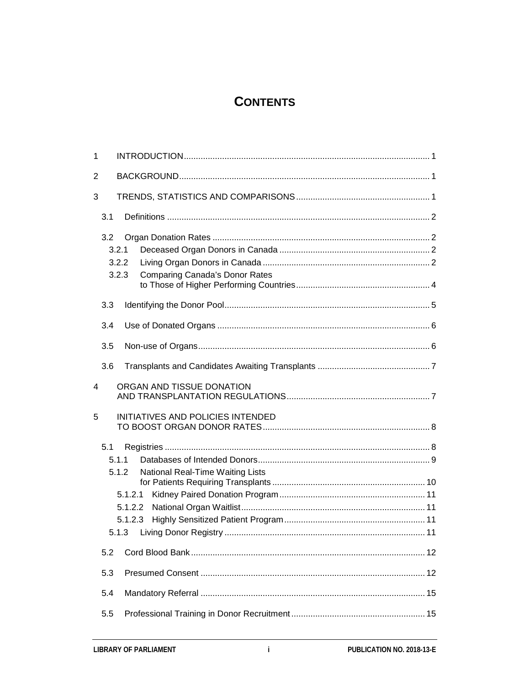# **CONTENTS**

| $\mathbf{1}$ |                                                  |  |
|--------------|--------------------------------------------------|--|
| 2            |                                                  |  |
| 3            |                                                  |  |
|              | 3.1                                              |  |
|              | 3.2                                              |  |
|              | 3.2.1                                            |  |
|              | 3.2.2                                            |  |
|              | 3.2.3<br><b>Comparing Canada's Donor Rates</b>   |  |
|              | 3.3                                              |  |
|              |                                                  |  |
|              | 3.4                                              |  |
|              | 3.5                                              |  |
|              | 3.6                                              |  |
| 4            | ORGAN AND TISSUE DONATION                        |  |
| 5            | INITIATIVES AND POLICIES INTENDED                |  |
|              | 5.1                                              |  |
|              | 5.1.1                                            |  |
|              | 5.1.2<br><b>National Real-Time Waiting Lists</b> |  |
|              |                                                  |  |
|              |                                                  |  |
|              |                                                  |  |
|              |                                                  |  |
|              |                                                  |  |
|              | 5.2                                              |  |
|              | 5.3                                              |  |
|              | 5.4                                              |  |
|              | 5.5                                              |  |
|              |                                                  |  |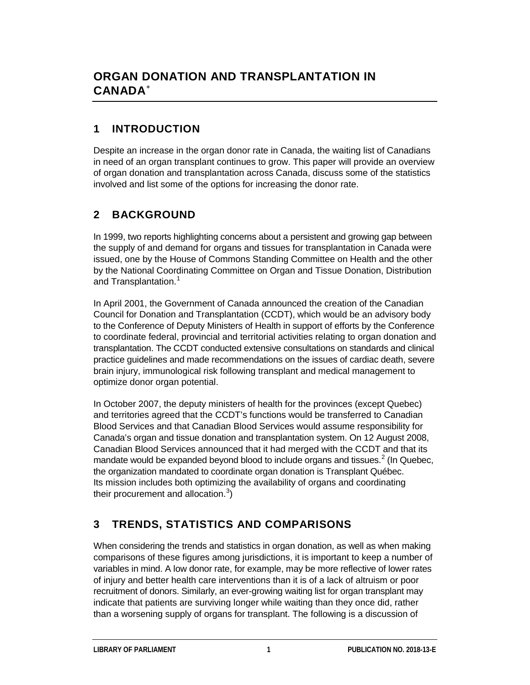# **1 INTRODUCTION**

Despite an increase in the organ donor rate in Canada, the waiting list of Canadians in need of an organ transplant continues to grow. This paper will provide an overview of organ donation and transplantation across Canada, discuss some of the statistics involved and list some of the options for increasing the donor rate.

# **2 BACKGROUND**

In 1999, two reports highlighting concerns about a persistent and growing gap between the supply of and demand for organs and tissues for transplantation in Canada were issued, one by the House of Commons Standing Committee on Health and the other by the National Coordinating Committee on Organ and Tissue Donation, Distribution and Transplantation. [1](#page-19-1)

In April 2001, the Government of Canada announced the creation of the Canadian Council for Donation and Transplantation (CCDT), which would be an advisory body to the Conference of Deputy Ministers of Health in support of efforts by the Conference to coordinate federal, provincial and territorial activities relating to organ donation and transplantation. The CCDT conducted extensive consultations on standards and clinical practice guidelines and made recommendations on the issues of cardiac death, severe brain injury, immunological risk following transplant and medical management to optimize donor organ potential.

In October 2007, the deputy ministers of health for the provinces (except Quebec) and territories agreed that the CCDT's functions would be transferred to Canadian Blood Services and that Canadian Blood Services would assume responsibility for Canada's organ and tissue donation and transplantation system. On 12 August 2008, Canadian Blood Services announced that it had merged with the CCDT and that its mandate would be expanded beyond blood to include organs and tissues.<sup>[2](#page-19-2)</sup> (In Quebec, the organization mandated to coordinate organ donation is Transplant Québec. Its mission includes both optimizing the availability of organs and coordinating their procurement and allocation.<sup>[3](#page-19-3)</sup>)

# **3 TRENDS, STATISTICS AND COMPARISONS**

When considering the trends and statistics in organ donation, as well as when making comparisons of these figures among jurisdictions, it is important to keep a number of variables in mind. A low donor rate, for example, may be more reflective of lower rates of injury and better health care interventions than it is of a lack of altruism or poor recruitment of donors. Similarly, an ever-growing waiting list for organ transplant may indicate that patients are surviving longer while waiting than they once did, rather than a worsening supply of organs for transplant. The following is a discussion of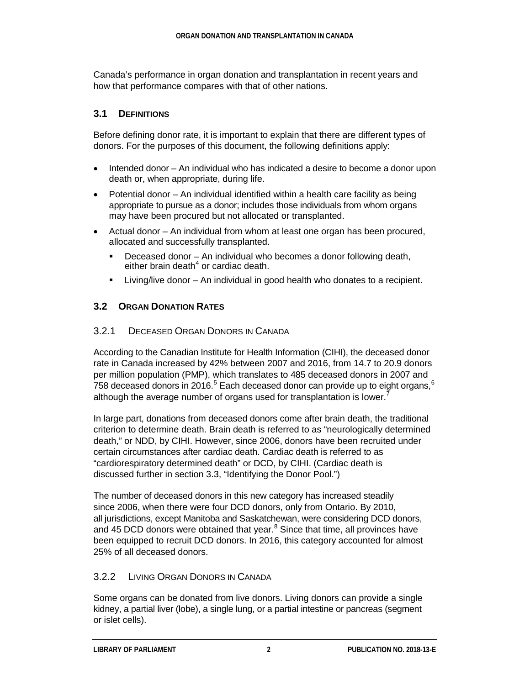Canada's performance in organ donation and transplantation in recent years and how that performance compares with that of other nations.

#### **3.1 DEFINITIONS**

Before defining donor rate, it is important to explain that there are different types of donors. For the purposes of this document, the following definitions apply:

- Intended donor An individual who has indicated a desire to become a donor upon death or, when appropriate, during life.
- Potential donor An individual identified within a health care facility as being appropriate to pursue as a donor; includes those individuals from whom organs may have been procured but not allocated or transplanted.
- Actual donor An individual from whom at least one organ has been procured, allocated and successfully transplanted.
	- Deceased donor An individual who becomes a donor following death, either brain death $<sup>4</sup>$  $<sup>4</sup>$  $<sup>4</sup>$  or cardiac death.</sup>
	- Living/live donor An individual in good health who donates to a recipient.

### **3.2 ORGAN DONATION RATES**

#### 3.2.1 DECEASED ORGAN DONORS IN CANADA

According to the Canadian Institute for Health Information (CIHI), the deceased donor rate in Canada increased by 42% between 2007 and 2016, from 14.7 to 20.9 donors per million population (PMP), which translates to 485 deceased donors in 2007 and 7[5](#page-19-5)8 deceased donors in 201[6](#page-20-0).<sup>5</sup> Each deceased donor can provide up to eight organs,  $6$ although the average number of organs used for transplantation is lower.

In large part, donations from deceased donors come after brain death, the traditional criterion to determine death. Brain death is referred to as "neurologically determined death," or NDD, by CIHI. However, since 2006, donors have been recruited under certain circumstances after cardiac death. Cardiac death is referred to as "cardiorespiratory determined death" or DCD, by CIHI. (Cardiac death is discussed further in section 3.3, "Identifying the Donor Pool.")

The number of deceased donors in this new category has increased steadily since 2006, when there were four DCD donors, only from Ontario. By 2010, all jurisdictions, except Manitoba and Saskatchewan, were considering DCD donors, and 45 DCD donors were obtained that year. $8$  Since that time, all provinces have been equipped to recruit DCD donors. In 2016, this category accounted for almost 25% of all deceased donors.

#### 3.2.2 LIVING ORGAN DONORS IN CANADA

Some organs can be donated from live donors. Living donors can provide a single kidney, a partial liver (lobe), a single lung, or a partial intestine or pancreas (segment or islet cells).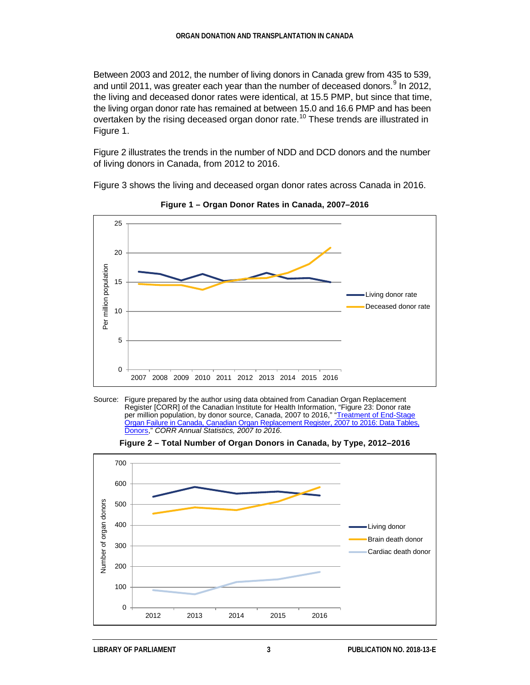Between 2003 and 2012, the number of living donors in Canada grew from 435 to 539, and until 2011, was greater each year than the number of deceased donors.<sup>[9](#page-20-3)</sup> In 2012, the living and deceased donor rates were identical, at 15.5 PMP, but since that time, the living organ donor rate has remained at between 15.0 and 16.6 PMP and has been overtaken by the rising deceased organ donor rate.<sup>[10](#page-20-4)</sup> These trends are illustrated in Figure 1.

Figure 2 illustrates the trends in the number of NDD and DCD donors and the number of living donors in Canada, from 2012 to 2016.

Figure 3 shows the living and deceased organ donor rates across Canada in 2016.



**Figure 1 – Organ Donor Rates in Canada, 2007–2016**





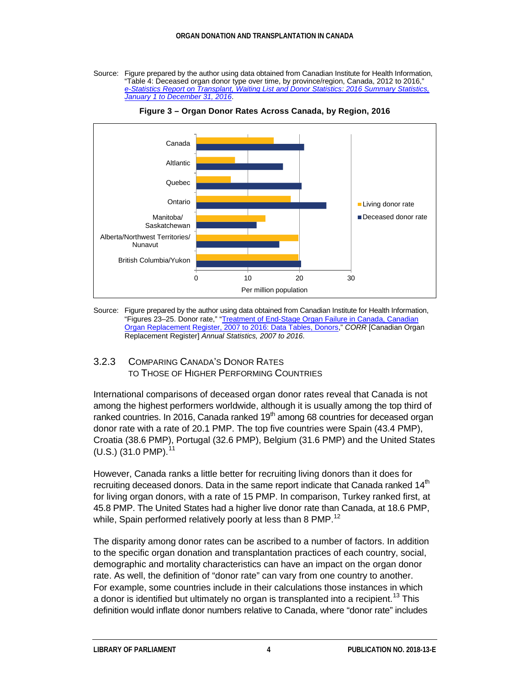Source: Figure prepared by the author using data obtained from Canadian Institute for Health Information, "Table 4: Deceased organ donor type over time, by province/region, Canada, 2012 to 2016," *[e-Statistics Report on Transplant, Waiting List and Donor Statistics: 2016](https://www.cihi.ca/sites/default/files/document/corr_ar-estatistics-2016-en.xlsx) Summary Statistics, January [1 to December](https://www.cihi.ca/sites/default/files/document/corr_ar-estatistics-2016-en.xlsx) 31, 2016*.



**Figure 3 – Organ Donor Rates Across Canada, by Region, 2016**

Source: Figure prepared by the author using data obtained from Canadian Institute for Health Information, "Figures 23–25. Donor rate," ["Treatment of End-Stage Organ Failure in Canada, Canadian](https://www.cihi.ca/sites/default/files/document/corr_ar-donor-data-tables-en.xlsx)  [Organ Replacement Register, 2007](https://www.cihi.ca/sites/default/files/document/corr_ar-donor-data-tables-en.xlsx) to 2016: Data Tables, Donors," *CORR* [Canadian Organ Replacement Register] *Annual Statistics, 2007 to 2016*.

#### 3.2.3 COMPARING CANADA'S DONOR RATES TO THOSE OF HIGHER PERFORMING COUNTRIES

International comparisons of deceased organ donor rates reveal that Canada is not among the highest performers worldwide, although it is usually among the top third of ranked countries. In 2016, Canada ranked  $19<sup>th</sup>$  among 68 countries for deceased organ donor rate with a rate of 20.1 PMP. The top five countries were Spain (43.4 PMP), Croatia (38.6 PMP), Portugal (32.6 PMP), Belgium (31.6 PMP) and the United States  $(U.S.)$  (31.0 PMP).<sup>[11](#page-20-5)</sup>

However, Canada ranks a little better for recruiting living donors than it does for recruiting deceased donors. Data in the same report indicate that Canada ranked 14<sup>th</sup> for living organ donors, with a rate of 15 PMP. In comparison, Turkey ranked first, at 45.8 PMP. The United States had a higher live donor rate than Canada, at 18.6 PMP, while, Spain performed relatively poorly at less than 8 PMP.<sup>[12](#page-20-6)</sup>

The disparity among donor rates can be ascribed to a number of factors. In addition to the specific organ donation and transplantation practices of each country, social, demographic and mortality characteristics can have an impact on the organ donor rate. As well, the definition of "donor rate" can vary from one country to another. For example, some countries include in their calculations those instances in which a donor is identified but ultimately no organ is transplanted into a recipient.<sup>[13](#page-20-7)</sup> This definition would inflate donor numbers relative to Canada, where "donor rate" includes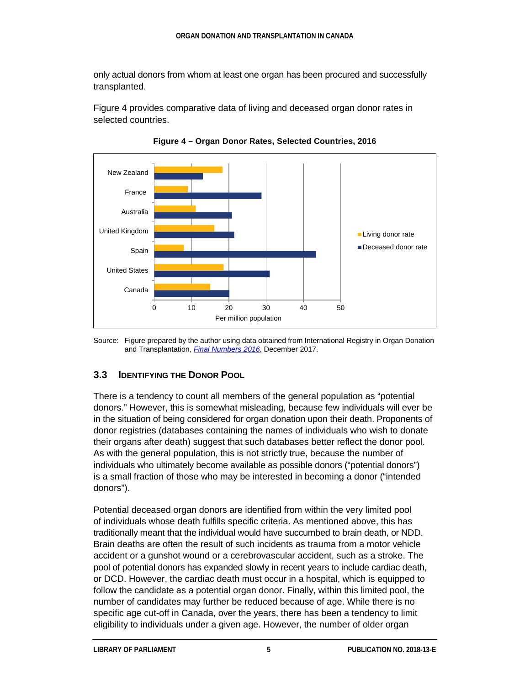only actual donors from whom at least one organ has been procured and successfully transplanted.

Figure 4 provides comparative data of living and deceased organ donor rates in selected countries.



**Figure 4 – Organ Donor Rates, Selected Countries, 2016**

#### **3.3 IDENTIFYING THE DONOR POOL**

There is a tendency to count all members of the general population as "potential donors." However, this is somewhat misleading, because few individuals will ever be in the situation of being considered for organ donation upon their death. Proponents of donor registries (databases containing the names of individuals who wish to donate their organs after death) suggest that such databases better reflect the donor pool. As with the general population, this is not strictly true, because the number of individuals who ultimately become available as possible donors ("potential donors") is a small fraction of those who may be interested in becoming a donor ("intended donors").

Potential deceased organ donors are identified from within the very limited pool of individuals whose death fulfills specific criteria. As mentioned above, this has traditionally meant that the individual would have succumbed to brain death, or NDD. Brain deaths are often the result of such incidents as trauma from a motor vehicle accident or a gunshot wound or a cerebrovascular accident, such as a stroke. The pool of potential donors has expanded slowly in recent years to include cardiac death, or DCD. However, the cardiac death must occur in a hospital, which is equipped to follow the candidate as a potential organ donor. Finally, within this limited pool, the number of candidates may further be reduced because of age. While there is no specific age cut-off in Canada, over the years, there has been a tendency to limit eligibility to individuals under a given age. However, the number of older organ

Source: Figure prepared by the author using data obtained from International Registry in Organ Donation and Transplantation, *Final [Numbers](http://www.irodat.org/img/database/pdf/IRODaT%20newletter%20Final%202016.pdf) 2016*, December 2017.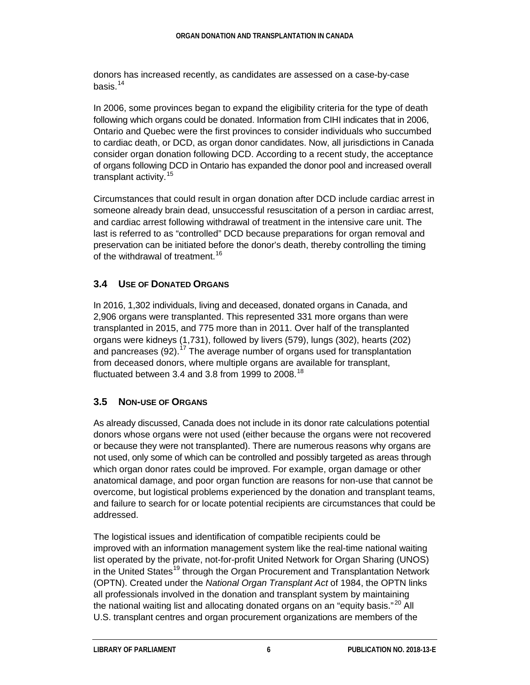donors has increased recently, as candidates are assessed on a case-by-case basis.[14](#page-20-8)

In 2006, some provinces began to expand the eligibility criteria for the type of death following which organs could be donated. Information from CIHI indicates that in 2006, Ontario and Quebec were the first provinces to consider individuals who succumbed to cardiac death, or DCD, as organ donor candidates. Now, all jurisdictions in Canada consider organ donation following DCD. According to a recent study, the acceptance of organs following DCD in Ontario has expanded the donor pool and increased overall transplant activity.<sup>[15](#page-20-9)</sup>

Circumstances that could result in organ donation after DCD include cardiac arrest in someone already brain dead, unsuccessful resuscitation of a person in cardiac arrest, and cardiac arrest following withdrawal of treatment in the intensive care unit. The last is referred to as "controlled" DCD because preparations for organ removal and preservation can be initiated before the donor's death, thereby controlling the timing of the withdrawal of treatment.<sup>[16](#page-20-10)</sup>

### **3.4 USE OF DONATED ORGANS**

In 2016, 1,302 individuals, living and deceased, donated organs in Canada, and 2,906 organs were transplanted. This represented 331 more organs than were transplanted in 2015, and 775 more than in 2011. Over half of the transplanted organs were kidneys (1,731), followed by livers (579), lungs (302), hearts (202) and pancreases (92).<sup>[17](#page-20-11)</sup> The average number of organs used for transplantation from deceased donors, where multiple organs are available for transplant, fluctuated between 3.4 and 3.8 from 1999 to 2008.<sup>[18](#page-20-12)</sup>

#### **3.5 NON-USE OF ORGANS**

As already discussed, Canada does not include in its donor rate calculations potential donors whose organs were not used (either because the organs were not recovered or because they were not transplanted). There are numerous reasons why organs are not used, only some of which can be controlled and possibly targeted as areas through which organ donor rates could be improved. For example, organ damage or other anatomical damage, and poor organ function are reasons for non-use that cannot be overcome, but logistical problems experienced by the donation and transplant teams, and failure to search for or locate potential recipients are circumstances that could be addressed.

The logistical issues and identification of compatible recipients could be improved with an information management system like the real-time national waiting list operated by the private, not-for-profit United Network for Organ Sharing (UNOS) in the United States<sup>[19](#page-20-13)</sup> through the Organ Procurement and Transplantation Network (OPTN). Created under the *National Organ Transplant Act* of 1984, the OPTN links all professionals involved in the donation and transplant system by maintaining the national waiting list and allocating donated organs on an "equity basis."<sup>[20](#page-20-14)</sup> All U.S. transplant centres and organ procurement organizations are members of the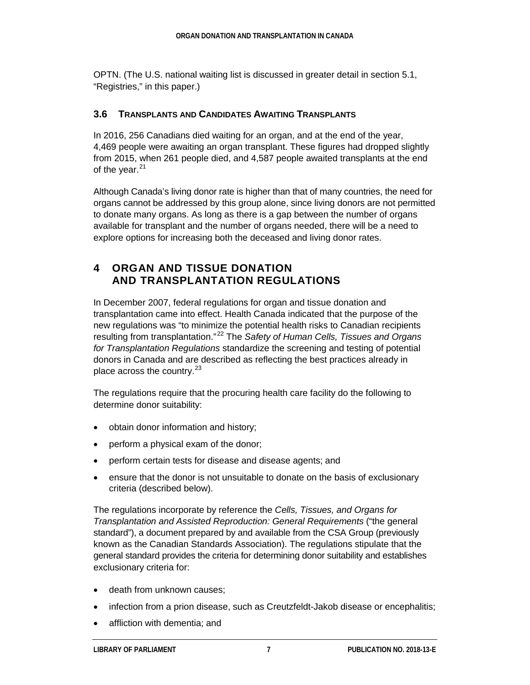OPTN. (The U.S. national waiting list is discussed in greater detail in section 5.1, "Registries," in this paper.)

#### **3.6 TRANSPLANTS AND CANDIDATES AWAITING TRANSPLANTS**

In 2016, 256 Canadians died waiting for an organ, and at the end of the year, 4,469 people were awaiting an organ transplant. These figures had dropped slightly from 2015, when 261 people died, and 4,587 people awaited transplants at the end of the year. $21$ 

Although Canada's living donor rate is higher than that of many countries, the need for organs cannot be addressed by this group alone, since living donors are not permitted to donate many organs. As long as there is a gap between the number of organs available for transplant and the number of organs needed, there will be a need to explore options for increasing both the deceased and living donor rates.

### **4 ORGAN AND TISSUE DONATION AND TRANSPLANTATION REGULATIONS**

In December 2007, federal regulations for organ and tissue donation and transplantation came into effect. Health Canada indicated that the purpose of the new regulations was "to minimize the potential health risks to Canadian recipients resulting from transplantation." [22](#page-20-16) The *Safety of Human Cells, Tissues and Organs for Transplantation Regulations* standardize the screening and testing of potential donors in Canada and are described as reflecting the best practices already in place across the country. $^{23}$  $^{23}$  $^{23}$ 

The regulations require that the procuring health care facility do the following to determine donor suitability:

- obtain donor information and history;
- perform a physical exam of the donor;
- perform certain tests for disease and disease agents; and
- ensure that the donor is not unsuitable to donate on the basis of exclusionary criteria (described below).

The regulations incorporate by reference the *Cells, Tissues, and Organs for Transplantation and Assisted Reproduction: General Requirements* ("the general standard"), a document prepared by and available from the CSA Group (previously known as the Canadian Standards Association). The regulations stipulate that the general standard provides the criteria for determining donor suitability and establishes exclusionary criteria for:

- death from unknown causes;
- infection from a prion disease, such as Creutzfeldt-Jakob disease or encephalitis;
- affliction with dementia; and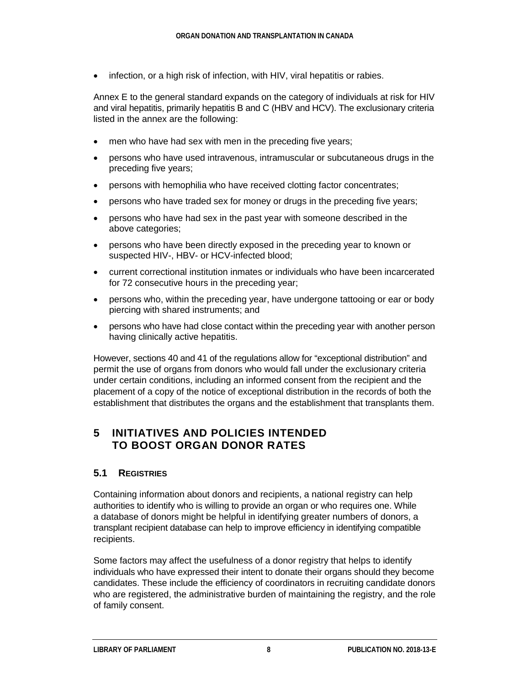• infection, or a high risk of infection, with HIV, viral hepatitis or rabies.

Annex E to the general standard expands on the category of individuals at risk for HIV and viral hepatitis, primarily hepatitis B and C (HBV and HCV). The exclusionary criteria listed in the annex are the following:

- men who have had sex with men in the preceding five years;
- persons who have used intravenous, intramuscular or subcutaneous drugs in the preceding five years;
- persons with hemophilia who have received clotting factor concentrates;
- persons who have traded sex for money or drugs in the preceding five years;
- persons who have had sex in the past year with someone described in the above categories;
- persons who have been directly exposed in the preceding year to known or suspected HIV-, HBV- or HCV-infected blood;
- current correctional institution inmates or individuals who have been incarcerated for 72 consecutive hours in the preceding year;
- persons who, within the preceding year, have undergone tattooing or ear or body piercing with shared instruments; and
- persons who have had close contact within the preceding year with another person having clinically active hepatitis.

However, sections 40 and 41 of the regulations allow for "exceptional distribution" and permit the use of organs from donors who would fall under the exclusionary criteria under certain conditions, including an informed consent from the recipient and the placement of a copy of the notice of exceptional distribution in the records of both the establishment that distributes the organs and the establishment that transplants them.

# **5 INITIATIVES AND POLICIES INTENDED TO BOOST ORGAN DONOR RATES**

#### **5.1 REGISTRIES**

Containing information about donors and recipients, a national registry can help authorities to identify who is willing to provide an organ or who requires one. While a database of donors might be helpful in identifying greater numbers of donors, a transplant recipient database can help to improve efficiency in identifying compatible recipients.

Some factors may affect the usefulness of a donor registry that helps to identify individuals who have expressed their intent to donate their organs should they become candidates. These include the efficiency of coordinators in recruiting candidate donors who are registered, the administrative burden of maintaining the registry, and the role of family consent.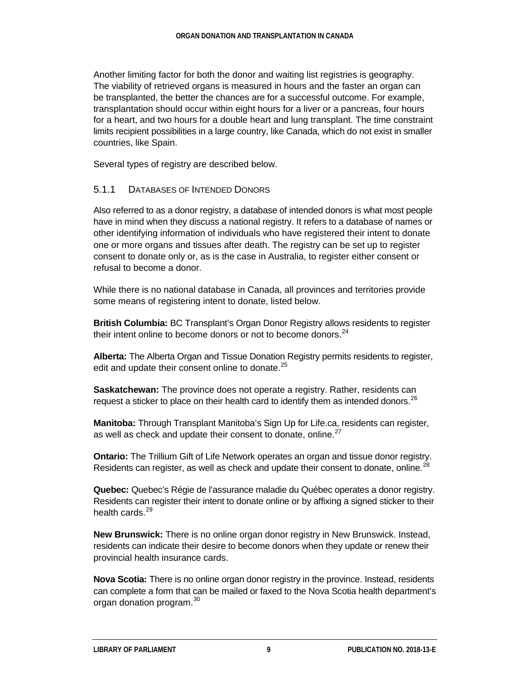Another limiting factor for both the donor and waiting list registries is geography. The viability of retrieved organs is measured in hours and the faster an organ can be transplanted, the better the chances are for a successful outcome. For example, transplantation should occur within eight hours for a liver or a pancreas, four hours for a heart, and two hours for a double heart and lung transplant. The time constraint limits recipient possibilities in a large country, like Canada, which do not exist in smaller countries, like Spain.

Several types of registry are described below.

#### 5.1.1 DATABASES OF INTENDED DONORS

Also referred to as a donor registry, a database of intended donors is what most people have in mind when they discuss a national registry. It refers to a database of names or other identifying information of individuals who have registered their intent to donate one or more organs and tissues after death. The registry can be set up to register consent to donate only or, as is the case in Australia, to register either consent or refusal to become a donor.

While there is no national database in Canada, all provinces and territories provide some means of registering intent to donate, listed below.

**British Columbia:** BC Transplant's Organ Donor Registry allows residents to register their intent online to become donors or not to become donors. $^{24}$  $^{24}$  $^{24}$ 

**Alberta:** The Alberta Organ and Tissue Donation Registry permits residents to register, edit and update their consent online to donate. $25$ 

**Saskatchewan:** The province does not operate a registry. Rather, residents can request a sticker to place on their health card to identify them as intended donors. $^{26}$  $^{26}$  $^{26}$ 

**Manitoba:** Through Transplant Manitoba's Sign Up for Life.ca, residents can register, as well as check and update their consent to donate, online. $27$ 

**Ontario:** The Trillium Gift of Life Network operates an organ and tissue donor registry. Residents can register, as well as check and update their consent to donate, online.<sup>[28](#page-21-1)</sup>

**Quebec:** Quebec's Régie de l'assurance maladie du Québec operates a donor registry. Residents can register their intent to donate online or by affixing a signed sticker to their health cards.<sup>[29](#page-21-2)</sup>

**New Brunswick:** There is no online organ donor registry in New Brunswick. Instead, residents can indicate their desire to become donors when they update or renew their provincial health insurance cards.

**Nova Scotia:** There is no online organ donor registry in the province. Instead, residents can complete a form that can be mailed or faxed to the Nova Scotia health department's organ donation program.<sup>[30](#page-21-3)</sup>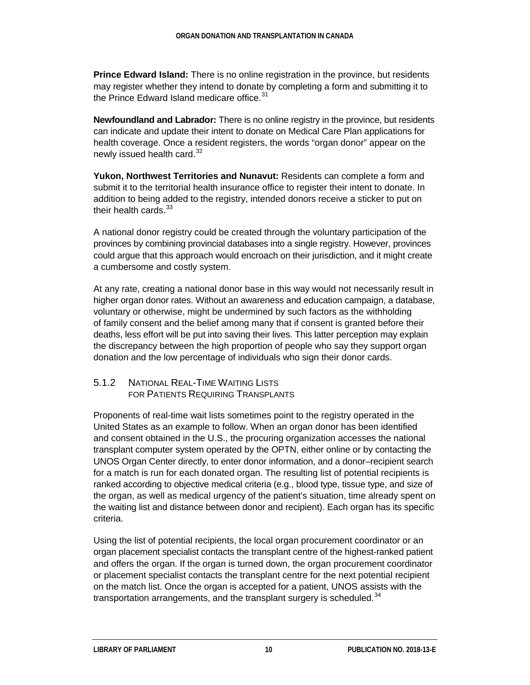**Prince Edward Island:** There is no online registration in the province, but residents may register whether they intend to donate by completing a form and submitting it to the Prince Edward Island medicare office. $31$ 

**Newfoundland and Labrador:** There is no online registry in the province, but residents can indicate and update their intent to donate on Medical Care Plan applications for health coverage. Once a resident registers, the words "organ donor" appear on the newly issued health card. $32$ 

**Yukon, Northwest Territories and Nunavut:** Residents can complete a form and submit it to the territorial health insurance office to register their intent to donate. In addition to being added to the registry, intended donors receive a sticker to put on their health cards.<sup>[33](#page-21-6)</sup>

A national donor registry could be created through the voluntary participation of the provinces by combining provincial databases into a single registry. However, provinces could argue that this approach would encroach on their jurisdiction, and it might create a cumbersome and costly system.

At any rate, creating a national donor base in this way would not necessarily result in higher organ donor rates. Without an awareness and education campaign, a database, voluntary or otherwise, might be undermined by such factors as the withholding of family consent and the belief among many that if consent is granted before their deaths, less effort will be put into saving their lives. This latter perception may explain the discrepancy between the high proportion of people who say they support organ donation and the low percentage of individuals who sign their donor cards.

#### 5.1.2 NATIONAL REAL-TIME WAITING LISTS FOR PATIENTS REQUIRING TRANSPLANTS

Proponents of real-time wait lists sometimes point to the registry operated in the United States as an example to follow. When an organ donor has been identified and consent obtained in the U.S., the procuring organization accesses the national transplant computer system operated by the OPTN, either online or by contacting the UNOS Organ Center directly, to enter donor information, and a donor–recipient search for a match is run for each donated organ. The resulting list of potential recipients is ranked according to objective medical criteria (e.g., blood type, tissue type, and size of the organ, as well as medical urgency of the patient's situation, time already spent on the waiting list and distance between donor and recipient). Each organ has its specific criteria.

Using the list of potential recipients, the local organ procurement coordinator or an organ placement specialist contacts the transplant centre of the highest-ranked patient and offers the organ. If the organ is turned down, the organ procurement coordinator or placement specialist contacts the transplant centre for the next potential recipient on the match list. Once the organ is accepted for a patient, UNOS assists with the transportation arrangements, and the transplant surgery is scheduled.<sup>[34](#page-21-7)</sup>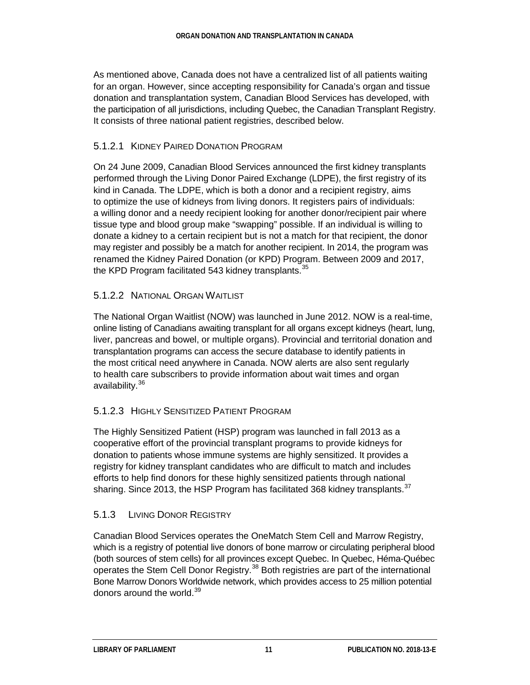As mentioned above, Canada does not have a centralized list of all patients waiting for an organ. However, since accepting responsibility for Canada's organ and tissue donation and transplantation system, Canadian Blood Services has developed, with the participation of all jurisdictions, including Quebec, the Canadian Transplant Registry. It consists of three national patient registries, described below.

#### 5.1.2.1 KIDNEY PAIRED DONATION PROGRAM

On 24 June 2009, Canadian Blood Services announced the first kidney transplants performed through the Living Donor Paired Exchange (LDPE), the first registry of its kind in Canada. The LDPE, which is both a donor and a recipient registry, aims to optimize the use of kidneys from living donors. It registers pairs of individuals: a willing donor and a needy recipient looking for another donor/recipient pair where tissue type and blood group make "swapping" possible. If an individual is willing to donate a kidney to a certain recipient but is not a match for that recipient, the donor may register and possibly be a match for another recipient. In 2014, the program was renamed the Kidney Paired Donation (or KPD) Program. Between 2009 and 2017, the KPD Program facilitated 543 kidney transplants.  $35$ 

#### 5.1.2.2 NATIONAL ORGAN WAITLIST

The National Organ Waitlist (NOW) was launched in June 2012. NOW is a real-time, online listing of Canadians awaiting transplant for all organs except kidneys (heart, lung, liver, pancreas and bowel, or multiple organs). Provincial and territorial donation and transplantation programs can access the secure database to identify patients in the most critical need anywhere in Canada. NOW alerts are also sent regularly to health care subscribers to provide information about wait times and organ availability.<sup>[36](#page-21-9)</sup>

#### 5.1.2.3 HIGHLY SENSITIZED PATIENT PROGRAM

The Highly Sensitized Patient (HSP) program was launched in fall 2013 as a cooperative effort of the provincial transplant programs to provide kidneys for donation to patients whose immune systems are highly sensitized. It provides a registry for kidney transplant candidates who are difficult to match and includes efforts to help find donors for these highly sensitized patients through national sharing. Since 2013, the HSP Program has facilitated 368 kidney transplants.  $37$ 

#### 5.1.3 LIVING DONOR REGISTRY

Canadian Blood Services operates the OneMatch Stem Cell and Marrow Registry, which is a registry of potential live donors of bone marrow or circulating peripheral blood (both sources of stem cells) for all provinces except Quebec. In Quebec, Héma-Québec operates the Stem Cell Donor Registry.<sup>[38](#page-21-11)</sup> Both registries are part of the international Bone Marrow Donors Worldwide network, which provides access to 25 million potential donors around the world.<sup>[39](#page-21-12)</sup>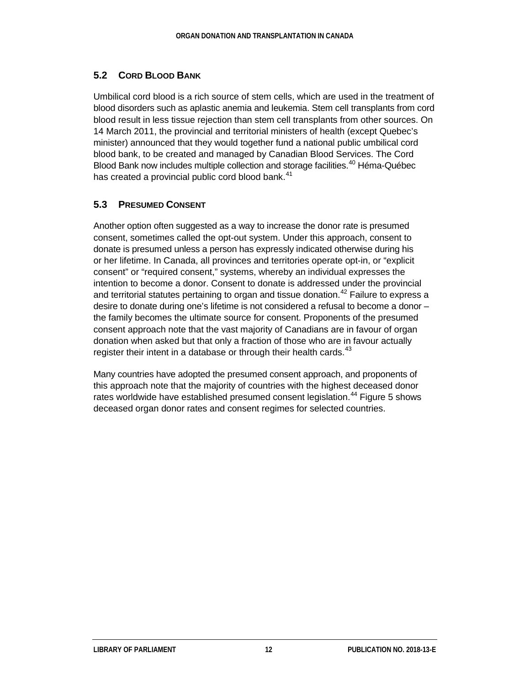#### **5.2 CORD BLOOD BANK**

Umbilical cord blood is a rich source of stem cells, which are used in the treatment of blood disorders such as aplastic anemia and leukemia. Stem cell transplants from cord blood result in less tissue rejection than stem cell transplants from other sources. On 14 March 2011, the provincial and territorial ministers of health (except Quebec's minister) announced that they would together fund a national public umbilical cord blood bank, to be created and managed by Canadian Blood Services. The Cord Blood Bank now includes multiple collection and storage facilities.<sup>[40](#page-21-13)</sup> Héma-Québec has created a provincial public cord blood bank.<sup>[41](#page-21-14)</sup>

#### **5.3 PRESUMED CONSENT**

Another option often suggested as a way to increase the donor rate is presumed consent, sometimes called the opt-out system. Under this approach, consent to donate is presumed unless a person has expressly indicated otherwise during his or her lifetime. In Canada, all provinces and territories operate opt-in, or "explicit consent" or "required consent," systems, whereby an individual expresses the intention to become a donor. Consent to donate is addressed under the provincial and territorial statutes pertaining to organ and tissue donation.<sup>[42](#page-21-15)</sup> Failure to express a desire to donate during one's lifetime is not considered a refusal to become a donor – the family becomes the ultimate source for consent. Proponents of the presumed consent approach note that the vast majority of Canadians are in favour of organ donation when asked but that only a fraction of those who are in favour actually register their intent in a database or through their health cards. $43$ 

Many countries have adopted the presumed consent approach, and proponents of this approach note that the majority of countries with the highest deceased donor rates worldwide have established presumed consent legislation.<sup>[44](#page-21-17)</sup> Figure 5 shows deceased organ donor rates and consent regimes for selected countries.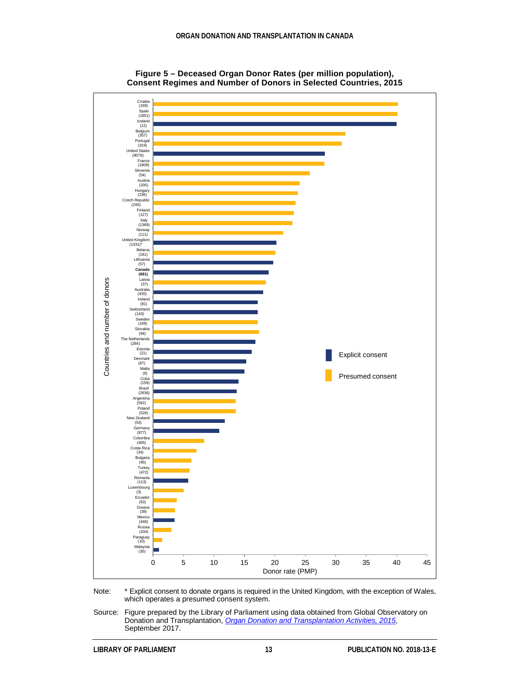

**Figure 5 – Deceased Organ Donor Rates (per million population), Consent Regimes and Number of Donors in Selected Countries, 2015**

Note: \* Explicit consent to donate organs is required in the United Kingdom, with the exception of Wales, which operates a presumed consent system.

Source: Figure prepared by the Library of Parliament using data obtained from Global Observatory on Donation and Transplantation, *[Organ Donation and Transplantation Activities,](http://www.transplant-observatory.org/2015-activity-data/) 2015*, September 2017.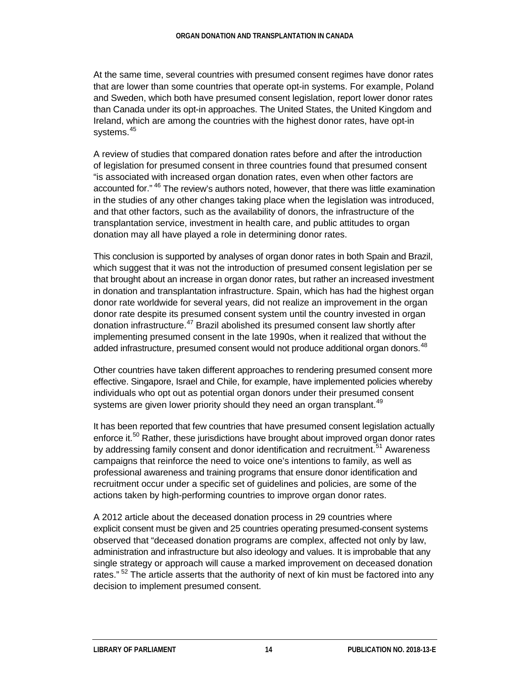At the same time, several countries with presumed consent regimes have donor rates that are lower than some countries that operate opt-in systems. For example, Poland and Sweden, which both have presumed consent legislation, report lower donor rates than Canada under its opt-in approaches. The United States, the United Kingdom and Ireland, which are among the countries with the highest donor rates, have opt-in systems. [45](#page-21-18)

A review of studies that compared donation rates before and after the introduction of legislation for presumed consent in three countries found that presumed consent "is associated with increased organ donation rates, even when other factors are accounted for." [46](#page-21-19) The review's authors noted, however, that there was little examination in the studies of any other changes taking place when the legislation was introduced, and that other factors, such as the availability of donors, the infrastructure of the transplantation service, investment in health care, and public attitudes to organ donation may all have played a role in determining donor rates.

This conclusion is supported by analyses of organ donor rates in both Spain and Brazil, which suggest that it was not the introduction of presumed consent legislation per se that brought about an increase in organ donor rates, but rather an increased investment in donation and transplantation infrastructure. Spain, which has had the highest organ donor rate worldwide for several years, did not realize an improvement in the organ donor rate despite its presumed consent system until the country invested in organ donation infrastructure.<sup>[47](#page-21-20)</sup> Brazil abolished its presumed consent law shortly after implementing presumed consent in the late 1990s, when it realized that without the added infrastructure, presumed consent would not produce additional organ donors.<sup>[48](#page-21-21)</sup>

Other countries have taken different approaches to rendering presumed consent more effective. Singapore, Israel and Chile, for example, have implemented policies whereby individuals who opt out as potential organ donors under their presumed consent systems are given lower priority should they need an organ transplant.<sup>[49](#page-21-22)</sup>

It has been reported that few countries that have presumed consent legislation actually enforce it.<sup>[50](#page-22-0)</sup> Rather, these jurisdictions have brought about improved organ donor rates by addressing family consent and donor identification and recruitment.<sup>[51](#page-22-1)</sup> Awareness campaigns that reinforce the need to voice one's intentions to family, as well as professional awareness and training programs that ensure donor identification and recruitment occur under a specific set of guidelines and policies, are some of the actions taken by high-performing countries to improve organ donor rates.

A 2012 article about the deceased donation process in 29 countries where explicit consent must be given and 25 countries operating presumed-consent systems observed that "deceased donation programs are complex, affected not only by law, administration and infrastructure but also ideology and values. It is improbable that any single strategy or approach will cause a marked improvement on deceased donation rates." <sup>[52](#page-22-2)</sup> The article asserts that the authority of next of kin must be factored into any decision to implement presumed consent.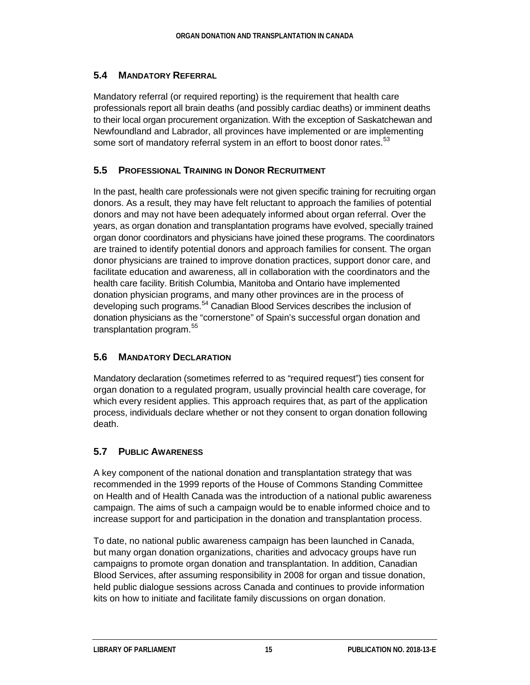#### **5.4 MANDATORY REFERRAL**

Mandatory referral (or required reporting) is the requirement that health care professionals report all brain deaths (and possibly cardiac deaths) or imminent deaths to their local organ procurement organization. With the exception of Saskatchewan and Newfoundland and Labrador, all provinces have implemented or are implementing some sort of mandatory referral system in an effort to boost donor rates.<sup>[53](#page-22-3)</sup>

### **5.5 PROFESSIONAL TRAINING IN DONOR RECRUITMENT**

In the past, health care professionals were not given specific training for recruiting organ donors. As a result, they may have felt reluctant to approach the families of potential donors and may not have been adequately informed about organ referral. Over the years, as organ donation and transplantation programs have evolved, specially trained organ donor coordinators and physicians have joined these programs. The coordinators are trained to identify potential donors and approach families for consent. The organ donor physicians are trained to improve donation practices, support donor care, and facilitate education and awareness, all in collaboration with the coordinators and the health care facility. British Columbia, Manitoba and Ontario have implemented donation physician programs, and many other provinces are in the process of developing such programs.<sup>[54](#page-22-4)</sup> Canadian Blood Services describes the inclusion of donation physicians as the "cornerstone" of Spain's successful organ donation and transplantation program.<sup>[55](#page-22-5)</sup>

### **5.6 MANDATORY DECLARATION**

Mandatory declaration (sometimes referred to as "required request") ties consent for organ donation to a regulated program, usually provincial health care coverage, for which every resident applies. This approach requires that, as part of the application process, individuals declare whether or not they consent to organ donation following death.

# **5.7 PUBLIC AWARENESS**

A key component of the national donation and transplantation strategy that was recommended in the 1999 reports of the House of Commons Standing Committee on Health and of Health Canada was the introduction of a national public awareness campaign. The aims of such a campaign would be to enable informed choice and to increase support for and participation in the donation and transplantation process.

To date, no national public awareness campaign has been launched in Canada, but many organ donation organizations, charities and advocacy groups have run campaigns to promote organ donation and transplantation. In addition, Canadian Blood Services, after assuming responsibility in 2008 for organ and tissue donation, held public dialogue sessions across Canada and continues to provide information kits on how to initiate and facilitate family discussions on organ donation.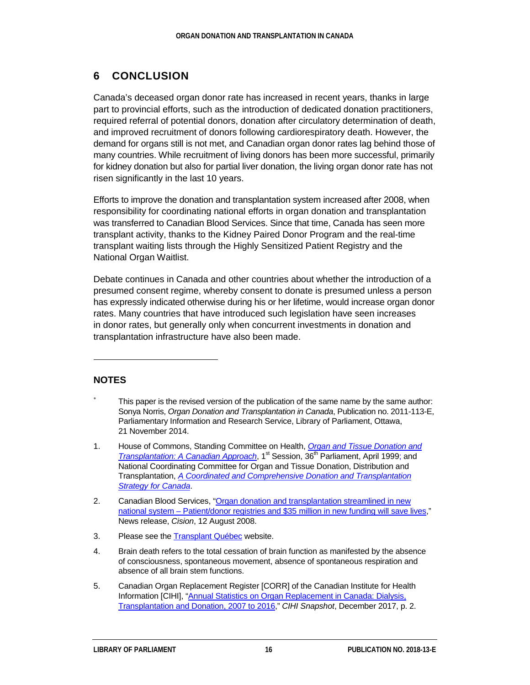# **6 CONCLUSION**

Canada's deceased organ donor rate has increased in recent years, thanks in large part to provincial efforts, such as the introduction of dedicated donation practitioners, required referral of potential donors, donation after circulatory determination of death, and improved recruitment of donors following cardiorespiratory death. However, the demand for organs still is not met, and Canadian organ donor rates lag behind those of many countries. While recruitment of living donors has been more successful, primarily for kidney donation but also for partial liver donation, the living organ donor rate has not risen significantly in the last 10 years.

Efforts to improve the donation and transplantation system increased after 2008, when responsibility for coordinating national efforts in organ donation and transplantation was transferred to Canadian Blood Services. Since that time, Canada has seen more transplant activity, thanks to the Kidney Paired Donor Program and the real-time transplant waiting lists through the Highly Sensitized Patient Registry and the National Organ Waitlist.

Debate continues in Canada and other countries about whether the introduction of a presumed consent regime, whereby consent to donate is presumed unless a person has expressly indicated otherwise during his or her lifetime, would increase organ donor rates. Many countries that have introduced such legislation have seen increases in donor rates, but generally only when concurrent investments in donation and transplantation infrastructure have also been made.

#### **NOTES**

1

- <span id="page-19-0"></span>This paper is the revised version of the publication of the same name by the same author: Sonya Norris, *Organ Donation and Transplantation in Canada*, Publication no. 2011-113-E, Parliamentary Information and Research Service, Library of Parliament, Ottawa, 21 November 2014.
- <span id="page-19-1"></span>1. House of Commons, Standing Committee on Health, *[Organ and Tissue Donation and](http://www.parl.gc.ca/HousePublications/Publication.aspx?DocId=1031593&Language=E&Mode=1&Parl=36&Ses=1)  [Transplantation: A Canadian Approach](http://www.parl.gc.ca/HousePublications/Publication.aspx?DocId=1031593&Language=E&Mode=1&Parl=36&Ses=1)*, 1<sup>st</sup> Session, 36<sup>th</sup> Parliament, April 1999; and National Coordinating Committee for Organ and Tissue Donation, Distribution and Transplantation, *[A Coordinated and Comprehensive Donation and Transplantation](http://www.hc-sc.gc.ca/dhp-mps/pubs/biolog/transplantation_e.html)  [Strategy for Canada](http://www.hc-sc.gc.ca/dhp-mps/pubs/biolog/transplantation_e.html)*.
- <span id="page-19-2"></span>2. Canadian Blood Services, ["Organ donation and transplantation streamlined in new](http://www.newswire.ca/en/story/218781/organ-donation-and-transplantation-streamlined-in-new-national-system-patient-donor-registries-and-35-million-in-new-funding-will-save-lives)  national system – Patient/donor registries and \$35 [million in new funding will save lives,](http://www.newswire.ca/en/story/218781/organ-donation-and-transplantation-streamlined-in-new-national-system-patient-donor-registries-and-35-million-in-new-funding-will-save-lives)" News release, *Cision*, 12 August 2008.
- <span id="page-19-3"></span>3. Please see the [Transplant Québec](http://www.transplantquebec.ca/en) website.
- <span id="page-19-4"></span>4. Brain death refers to the total cessation of brain function as manifested by the absence of consciousness, spontaneous movement, absence of spontaneous respiration and absence of all brain stem functions.
- <span id="page-19-5"></span>5. Canadian Organ Replacement Register [CORR] of the Canadian Institute for Health Information [CIHI], ["Annual Statistics on Organ Replacement in Canada: Dialysis,](https://secure.cihi.ca/free_products/corr_ar-snapshot-en.pdf)  [Transplantation and Donation, 2007](https://secure.cihi.ca/free_products/corr_ar-snapshot-en.pdf) to 2016," *CIHI Snapshot*, December 2017, p. 2.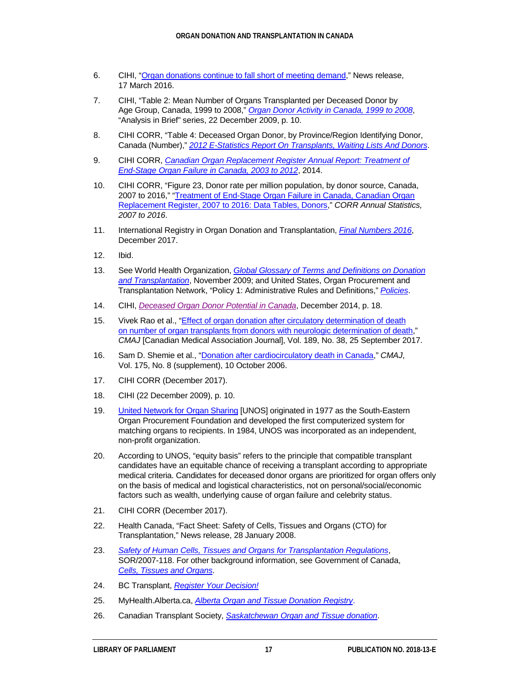- <span id="page-20-0"></span>6. CIHI, ["Organ donations continue to fall short of meeting demand,](https://www.cihi.ca/sites/default/files/corr_2015_mr_final_en.docx)" News release, 17 March 2016.
- <span id="page-20-1"></span>7. CIHI, "Table 2: Mean Number of Organs Transplanted per Deceased Donor by Age Group, Canada, 1999 to 2008," *[Organ Donor Activity in Canada, 1999](https://secure.cihi.ca/free_products/CORR_AiB_EN_20091222_rev20100106.pdf) to 2008*, "Analysis in Brief" series, 22 December 2009, p. 10.
- <span id="page-20-2"></span>8. CIHI CORR, "Table 4: Deceased Organ Donor, by Province/Region Identifying Donor, Canada (Number)," *[2012 E-Statistics Report On Transplants, Waiting Lists And Donors](https://www.cihi.ca/en/2012-e-statistics-report-on-transplants-waiting-lists-and-donors)*.
- <span id="page-20-3"></span>9. CIHI CORR, *[Canadian Organ Replacement Register Annual Report: Treatment of](https://secure.cihi.ca/free_products/2014_CORR_Annual_Report_EN.pdf)  [End-Stage Organ Failure in Canada, 2003](https://secure.cihi.ca/free_products/2014_CORR_Annual_Report_EN.pdf) to 2012*, 2014.
- <span id="page-20-4"></span>10. CIHI CORR, "Figure 23, Donor rate per million population, by donor source, Canada, 2007 to 2016," ["Treatment of End-Stage Organ Failure in Canada, Canadian Organ](https://www.cihi.ca/sites/default/files/document/corr_ar-donor-data-tables-en.xlsx)  [Replacement Register, 2007 to 2016: Data Tables, Donors,"](https://www.cihi.ca/sites/default/files/document/corr_ar-donor-data-tables-en.xlsx) *CORR Annual Statistics, 2007 to 2016*.
- <span id="page-20-5"></span>11. International Registry in Organ Donation and Transplantation, *Final [Numbers](http://www.irodat.org/img/database/pdf/IRODaT%20newletter%20Final%202016.pdf) 2016*, December 2017.
- <span id="page-20-6"></span>12. Ibid.
- <span id="page-20-7"></span>13. See World Health Organization, *Global [Glossary of Terms and Definitions on Donation](http://www.who.int/transplantation/activities/GlobalGlossaryonDonationTransplantation.pdf?ua=1)  [and Transplantation](http://www.who.int/transplantation/activities/GlobalGlossaryonDonationTransplantation.pdf?ua=1)*, November 2009; and United States, Organ Procurement and Transplantation Network, "Policy 1: Administrative Rules and Definitions," *[Policies](https://optn.transplant.hrsa.gov/media/1200/optn_policies.pdf)*.
- <span id="page-20-8"></span>14. CIHI, *[Deceased Organ Donor Potential in Canada](https://www.cihi.ca/web/resource/en/organdonorpotential_2014_en.pdf)*, December 2014, p. 18.
- <span id="page-20-9"></span>15. Vivek Rao et al., "*Effect of organ donation after circulatory determination of death* on [number of organ transplants from donors with neurologic determination of death,](http://www.cmaj.ca/content/189/38/E1206)" *CMAJ* [Canadian Medical Association Journal], Vol. 189, No. 38, 25 September 2017.
- <span id="page-20-10"></span>16. Sam D. Shemie et al., ["Donation after cardiocirculatory death in Canada,](http://www.cmaj.ca/content/175/8/S1)" *CMAJ*, Vol. 175, No. 8 (supplement), 10 October 2006.
- <span id="page-20-11"></span>17. CIHI CORR (December 2017).
- <span id="page-20-12"></span>18. CIHI (22 December 2009), p. 10.
- <span id="page-20-13"></span>19. **[United Network for Organ Sharing](http://www.unos.org/) [UNOS] originated in 1977 as the South-Eastern** Organ Procurement Foundation and developed the first computerized system for matching organs to recipients. In 1984, UNOS was incorporated as an independent, non-profit organization.
- <span id="page-20-14"></span>20. According to UNOS, "equity basis" refers to the principle that compatible transplant candidates have an equitable chance of receiving a transplant according to appropriate medical criteria. Candidates for deceased donor organs are prioritized for organ offers only on the basis of medical and logistical characteristics, not on personal/social/economic factors such as wealth, underlying cause of organ failure and celebrity status.
- <span id="page-20-15"></span>21. CIHI CORR (December 2017).
- <span id="page-20-16"></span>22. Health Canada, "Fact Sheet: Safety of Cells, Tissues and Organs (CTO) for Transplantation," News release, 28 January 2008.
- <span id="page-20-17"></span>23. *[Safety of Human Cells, Tissues and Organs for Transplantation Regulations](http://laws-lois.justice.gc.ca/eng/regulations/SOR-2007-118/page-1.html)*, SOR/2007-118. For other background information, see Government of Canada, *Cells, [Tissues and Organs](http://www.hc-sc.gc.ca/dhp-mps/compli-conform/info-prod/cell/index-eng.php)*.
- <span id="page-20-18"></span>24. BC Transplant, *[Register Your Decision!](https://register.transplant.bc.ca/)*
- <span id="page-20-19"></span>25. MyHealth.Alberta.ca, *[Alberta Organ and Tissue Donation Registry](https://myhealth.alberta.ca/Pages/OTDRHome.aspx)*.
- <span id="page-20-20"></span>26. Canadian Transplant Society, *[Saskatchewan Organ and Tissue donation](http://www.cantransplant.ca/saskatchewan-organ-donation.php)*.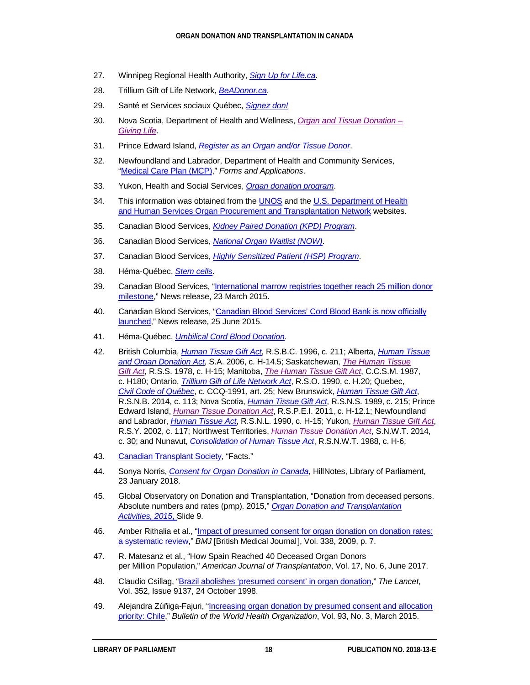- <span id="page-21-0"></span>27. Winnipeg Regional Health Authority, *[Sign Up for Life.ca](https://www.signupforlife.ca/)*.
- <span id="page-21-1"></span>28. Trillium Gift of Life Network, *[BeADonor.ca](https://beadonor.ca/)*.
- <span id="page-21-2"></span>29. Santé et Services sociaux Québec, *[Signez don!](http://www.signezdon.gouv.qc.ca/index.php?accueil-sansjs-en)*
- <span id="page-21-3"></span>30. Nova Scotia, Department of Health and Wellness, *[Organ and Tissue Donation](http://www.novascotia.ca/dhw/msi/docs/MSI-Organ-Tissue-Donation-Form.pdf) – [Giving](http://www.novascotia.ca/dhw/msi/docs/MSI-Organ-Tissue-Donation-Form.pdf) Life*.
- <span id="page-21-4"></span>31. Prince Edward Island, *[Register as an Organ and/or Tissue Donor](https://www.princeedwardisland.ca/en/service/register-organ-andor-tissue-donor)*.
- <span id="page-21-5"></span>32. Newfoundland and Labrador, Department of Health and Community Services, "Medical [Care Plan \(MCP\),"](http://www.health.gov.nl.ca/health/forms/index.html#3) *Forms and Applications*.
- <span id="page-21-6"></span>33. Yukon, Health and Social Services, *[Organ donation program](http://www.hss.gov.yk.ca/organdonation.php)*.
- <span id="page-21-7"></span>34. This information was obtained from the [UNOS](http://www.unos.org/) and the U.S. [Department of Health](http://optn.transplant.hrsa.gov/)  and [Human Services Organ Procurement and Transplantation Network](http://optn.transplant.hrsa.gov/) websites.
- <span id="page-21-8"></span>35. Canadian Blood Services, *[Kidney Paired Donation \(KPD\) Program](https://professionaleducation.blood.ca/en/organs-and-tissues/programs-and-services/kidney-paired-donation-kpd-program)*.
- <span id="page-21-9"></span>36. Canadian Blood Services, *[National Organ Waitlist \(NOW\)](https://professionaleducation.blood.ca/en/organs-tissues/program-overview/national-organ-waitlist-now)*.
- <span id="page-21-10"></span>37. Canadian Blood Services, *[Highly Sensitized Patient \(HSP\) Program](https://professionaleducation.blood.ca/en/organs-tissues/program-overview/highly-sensitized-patient-hsp-program)*.
- <span id="page-21-11"></span>38. Héma-Québec, *[Stem cell](https://www.hema-quebec.qc.ca/cellules-souches/index.en.html)*s.
- <span id="page-21-12"></span>39. Canadian Blood Services, ["International marrow registries together reach 25](https://blood.ca/en/media/international-marrow-registries-together-reach-25-million-donor-milestone) million donor [milestone,](https://blood.ca/en/media/international-marrow-registries-together-reach-25-million-donor-milestone)" News release, 23 March 2015.
- <span id="page-21-13"></span>40. Canadian Blood Services, ["Canadian Blood Services' Cord Blood Bank is now officially](https://blood.ca/en/media/canadian-blood-services-cord-blood-bank-is-now-officially-launched)  [launched,](https://blood.ca/en/media/canadian-blood-services-cord-blood-bank-is-now-officially-launched)" News release, 25 June 2015.
- <span id="page-21-14"></span>41. Héma-Québec, *[Umbilical Cord Blood Donation](https://www.hema-quebec.qc.ca/cellules-souches/don-sang-cordon-ombilical/index.en.html)*.
- <span id="page-21-15"></span>42. British Columbia, *[Human Tissue Gift Act](http://www.bclaws.ca/EPLibraries/bclaws_new/document/ID/freeside/00_96211_01)*, R.S.B.C. 1996, c. 211; Alberta, *[Human Tissue](http://www.qp.alberta.ca/1266.cfm?page=h14p5.cfm&leg_type=Acts&isbncln=9780779743605&display=html)  [and Organ Donation Act](http://www.qp.alberta.ca/1266.cfm?page=h14p5.cfm&leg_type=Acts&isbncln=9780779743605&display=html)*, S.A. 2006, c. H-14.5; Saskatchewan, *[The Human Tissue](http://www.qp.gov.sk.ca/documents/English/Statutes/Statutes/H15.pdf)  [Gift](http://www.qp.gov.sk.ca/documents/English/Statutes/Statutes/H15.pdf) Act*, R.S.S. 1978, c. H-15; Manitoba, *[The Human Tissue Gift Act](https://web2.gov.mb.ca/laws/statutes/ccsm/h180e.php)*, C.C.S.M. 1987, c. H180; Ontario, *[Trillium Gift of Life Network Act](http://www.canlii.org/en/on/laws/stat/rso-1990-c-h20/latest/rso-1990-c-h20.html)*, R.S.O. 1990, c. H.20; Quebec, *Civil [Code of Québec](http://legisquebec.gouv.qc.ca/en/showdoc/cs/CCQ-1991)*, c. CCQ-1991, art. 25; New Brunswick, *[Human Tissue Gift Act](http://laws.gnb.ca/en/showdoc/cs/2014-c.113)*, R.S.N.B. 2014, c. 113; Nova Scotia, *[Human Tissue Gift Act](http://www.canlii.org/en/ns/laws/stat/rsns-1989-c-215/latest/rsns-1989-c-215.html)*, R.S.N.S. 1989, c. 215; Prince Edward Island, *[Human Tissue Donation Act](https://www.princeedwardisland.ca/sites/default/files/legislation/H-12-1-Human%20Tissue%20Donation%20Act.pdf)*, R.S.P.E.I. 2011, c. H-12.1; Newfoundland and Labrador, *[Human Tissue Act](http://www.canlii.org/en/nl/laws/stat/rsnl-1990-c-h-15/latest/rsnl-1990-c-h-15.html)*, R.S.N.L. 1990, c. H-15; Yukon, *[Human Tissue Gift Act](http://www.gov.yk.ca/legislation/acts/hutigi.pdf)*, R.S.Y. 2002, c. 117; Northwest Territories, *[Human Tissue Donation Act](https://www.justice.gov.nt.ca/en/files/legislation/human-tissue-donation/human-tissue-donation.a.pdf?t1439301450971)*, S.N.W.T. 2014, c. 30; and Nunavut, *[Consolidation of Human Tissue Act](https://www.nunavutlegislation.ca/en/download/file/fid/11119)*, R.S.N.W.T. 1988, c. H-6.
- <span id="page-21-16"></span>43. [Canadian Transplant Society,](http://www.cantransplant.ca/home/) "Facts."
- <span id="page-21-17"></span>44. Sonya Norris, *[Consent for Organ Donation in Canada](https://hillnotes.ca/2018/01/23/consent-for-organ-donation-in-canada/)*, HillNotes, Library of Parliament, 23 January 2018.
- <span id="page-21-18"></span>45. Global Observatory on Donation and Transplantation, "Donation from deceased persons. Absolute numbers and rates (pmp). 2015," *[Organ Donation and Transplantation](http://www.transplant-observatory.org/2015-activity-data/)  [Activities,](http://www.transplant-observatory.org/2015-activity-data/) 2015*, Slide 9.
- <span id="page-21-19"></span>46. Amber Rithalia et al., "Impact of presumed consent for organ donation on donation rates: [a systematic review,](http://www.bmj.com/content/bmj/338/bmj.a3162.full.pdf)" *BMJ* [British Medical Journal], Vol. 338, 2009, p. 7.
- <span id="page-21-20"></span>47. R. Matesanz et al., "How Spain Reached 40 Deceased Organ Donors per Million Population," *American Journal of Transplantation*, Vol. 17, No. 6, June 2017.
- <span id="page-21-21"></span>48. Claudio Csillag, ["Brazil abolishes 'presumed consent' in organ donation,](https://ac.els-cdn.com/S0140673605607672/1-s2.0-S0140673605607672-main.pdf?_tid=5bc1da9e-bd77-11e7-a18d-00000aacb362&acdnat=1509370780_e2ede057b2061c2ab336d509e1210d39)" *The Lancet*, Vol. 352, Issue 9137, 24 October 1998.
- <span id="page-21-22"></span>49. Alejandra Zúñiga-Fajuri, ["Increasing organ donation by presumed consent and allocation](http://www.who.int/bulletin/volumes/93/3/14-139535/en/)  [priority: Chile,](http://www.who.int/bulletin/volumes/93/3/14-139535/en/)" *Bulletin of the World Health Organization*, Vol. 93, No. 3, March 2015.